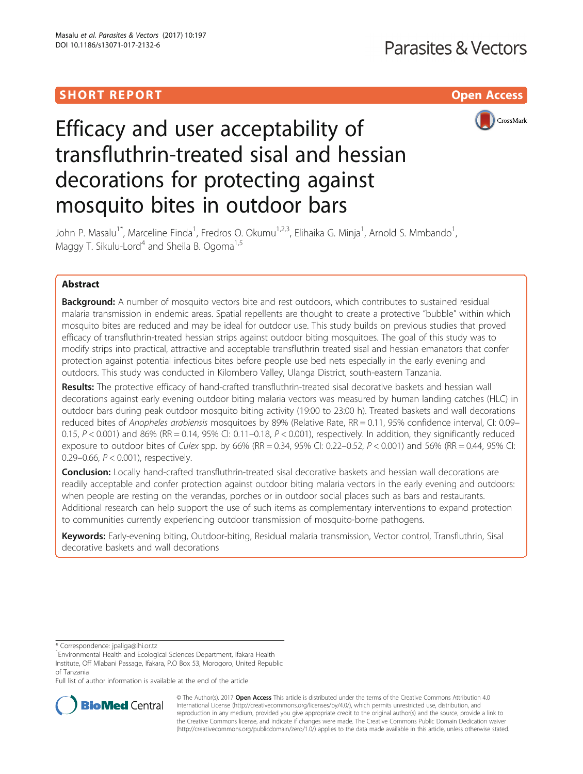## **SHORT REPORT CONTRACT CONTRACT CONTRACT CONTRACT CONTRACT CONTRACT CONTRACT CONTRACT CONTRACT CONTRACT CONTRACT CONTRACT CONTRACT CONTRACT CONTRACT CONTRACT CONTRACT CONTRACT CONTRACT CONTRACT CONTRACT CONTRACT CONTRACT C**



# Efficacy and user acceptability of transfluthrin-treated sisal and hessian decorations for protecting against mosquito bites in outdoor bars

John P. Masalu<sup>1\*</sup>, Marceline Finda<sup>1</sup>, Fredros O. Okumu<sup>1,2,3</sup>, Elihaika G. Minja<sup>1</sup>, Arnold S. Mmbando<sup>1</sup> , Maggy T. Sikulu-Lord<sup>4</sup> and Sheila B. Ogoma<sup>1,5</sup>

## Abstract

**Background:** A number of mosquito vectors bite and rest outdoors, which contributes to sustained residual malaria transmission in endemic areas. Spatial repellents are thought to create a protective "bubble" within which mosquito bites are reduced and may be ideal for outdoor use. This study builds on previous studies that proved efficacy of transfluthrin-treated hessian strips against outdoor biting mosquitoes. The goal of this study was to modify strips into practical, attractive and acceptable transfluthrin treated sisal and hessian emanators that confer protection against potential infectious bites before people use bed nets especially in the early evening and outdoors. This study was conducted in Kilombero Valley, Ulanga District, south-eastern Tanzania.

Results: The protective efficacy of hand-crafted transfluthrin-treated sisal decorative baskets and hessian wall decorations against early evening outdoor biting malaria vectors was measured by human landing catches (HLC) in outdoor bars during peak outdoor mosquito biting activity (19:00 to 23:00 h). Treated baskets and wall decorations reduced bites of Anopheles arabiensis mosquitoes by 89% (Relative Rate, RR = 0.11, 95% confidence interval, CI: 0.09-0.15,  $P < 0.001$ ) and 86% (RR = 0.14, 95% CI: 0.11–0.18,  $P < 0.001$ ), respectively. In addition, they significantly reduced exposure to outdoor bites of Culex spp. by 66% (RR = 0.34, 95% CI: 0.22–0.52,  $P < 0.001$ ) and 56% (RR = 0.44, 95% CI: 0.29–0.66, P < 0.001), respectively.

**Conclusion:** Locally hand-crafted transfluthrin-treated sisal decorative baskets and hessian wall decorations are readily acceptable and confer protection against outdoor biting malaria vectors in the early evening and outdoors: when people are resting on the verandas, porches or in outdoor social places such as bars and restaurants. Additional research can help support the use of such items as complementary interventions to expand protection to communities currently experiencing outdoor transmission of mosquito-borne pathogens.

Keywords: Early-evening biting, Outdoor-biting, Residual malaria transmission, Vector control, Transfluthrin, Sisal decorative baskets and wall decorations

\* Correspondence: [jpaliga@ihi.or.tz](mailto:jpaliga@ihi.or.tz) <sup>1</sup>

<sup>1</sup> Environmental Health and Ecological Sciences Department, Ifakara Health Institute, Off Mlabani Passage, Ifakara, P.O Box 53, Morogoro, United Republic of Tanzania

Full list of author information is available at the end of the article



© The Author(s). 2017 **Open Access** This article is distributed under the terms of the Creative Commons Attribution 4.0 International License [\(http://creativecommons.org/licenses/by/4.0/](http://creativecommons.org/licenses/by/4.0/)), which permits unrestricted use, distribution, and reproduction in any medium, provided you give appropriate credit to the original author(s) and the source, provide a link to the Creative Commons license, and indicate if changes were made. The Creative Commons Public Domain Dedication waiver [\(http://creativecommons.org/publicdomain/zero/1.0/](http://creativecommons.org/publicdomain/zero/1.0/)) applies to the data made available in this article, unless otherwise stated.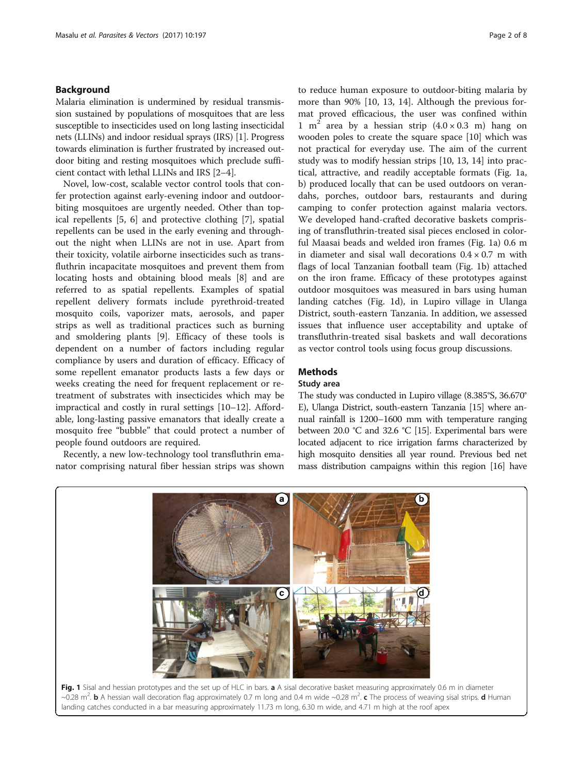## <span id="page-1-0"></span>Background

Malaria elimination is undermined by residual transmission sustained by populations of mosquitoes that are less susceptible to insecticides used on long lasting insecticidal nets (LLINs) and indoor residual sprays (IRS) [[1\]](#page-7-0). Progress towards elimination is further frustrated by increased outdoor biting and resting mosquitoes which preclude sufficient contact with lethal LLINs and IRS [[2](#page-7-0)–[4](#page-7-0)].

Novel, low-cost, scalable vector control tools that confer protection against early-evening indoor and outdoorbiting mosquitoes are urgently needed. Other than topical repellents [[5, 6\]](#page-7-0) and protective clothing [\[7\]](#page-7-0), spatial repellents can be used in the early evening and throughout the night when LLINs are not in use. Apart from their toxicity, volatile airborne insecticides such as transfluthrin incapacitate mosquitoes and prevent them from locating hosts and obtaining blood meals [[8](#page-7-0)] and are referred to as spatial repellents. Examples of spatial repellent delivery formats include pyrethroid-treated mosquito coils, vaporizer mats, aerosols, and paper strips as well as traditional practices such as burning and smoldering plants [\[9](#page-7-0)]. Efficacy of these tools is dependent on a number of factors including regular compliance by users and duration of efficacy. Efficacy of some repellent emanator products lasts a few days or weeks creating the need for frequent replacement or retreatment of substrates with insecticides which may be impractical and costly in rural settings [[10](#page-7-0)–[12](#page-7-0)]. Affordable, long-lasting passive emanators that ideally create a mosquito free "bubble" that could protect a number of people found outdoors are required.

Recently, a new low-technology tool transfluthrin emanator comprising natural fiber hessian strips was shown

to reduce human exposure to outdoor-biting malaria by more than 90% [[10](#page-7-0), [13](#page-7-0), [14](#page-7-0)]. Although the previous format proved efficacious, the user was confined within 1 m<sup>2</sup> area by a hessian strip  $(4.0 \times 0.3 \text{ m})$  hang on wooden poles to create the square space [\[10](#page-7-0)] which was not practical for everyday use. The aim of the current study was to modify hessian strips [[10, 13, 14\]](#page-7-0) into practical, attractive, and readily acceptable formats (Fig. 1a, b) produced locally that can be used outdoors on verandahs, porches, outdoor bars, restaurants and during camping to confer protection against malaria vectors. We developed hand-crafted decorative baskets comprising of transfluthrin-treated sisal pieces enclosed in colorful Maasai beads and welded iron frames (Fig. 1a) 0.6 m in diameter and sisal wall decorations  $0.4 \times 0.7$  m with flags of local Tanzanian football team (Fig. 1b) attached on the iron frame. Efficacy of these prototypes against outdoor mosquitoes was measured in bars using human landing catches (Fig. 1d), in Lupiro village in Ulanga District, south-eastern Tanzania. In addition, we assessed issues that influence user acceptability and uptake of transfluthrin-treated sisal baskets and wall decorations as vector control tools using focus group discussions.

## Methods

#### Study area

The study was conducted in Lupiro village (8.385°S, 36.670° E), Ulanga District, south-eastern Tanzania [\[15\]](#page-7-0) where annual rainfall is 1200–1600 mm with temperature ranging between 20.0 °C and 32.6 °C [\[15\]](#page-7-0). Experimental bars were located adjacent to rice irrigation farms characterized by high mosquito densities all year round. Previous bed net mass distribution campaigns within this region [[16](#page-7-0)] have

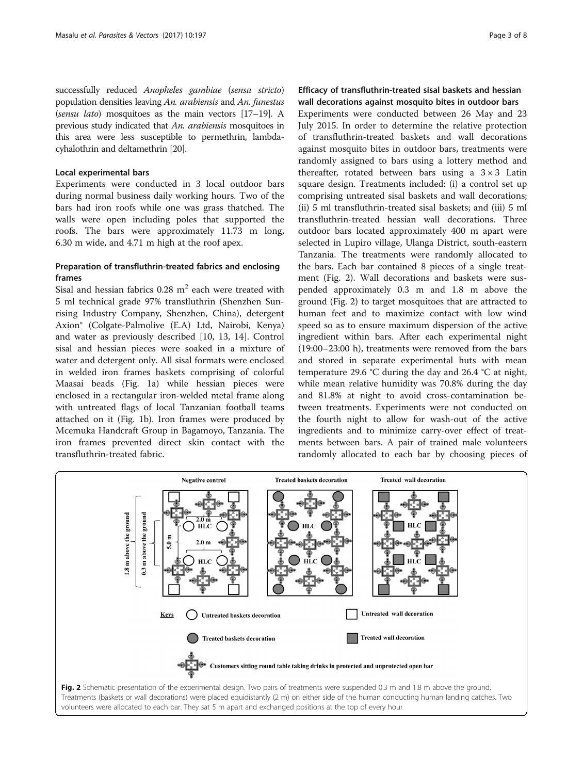successfully reduced Anopheles gambiae (sensu stricto) population densities leaving An. arabiensis and An. funestus (sensu lato) mosquitoes as the main vectors [\[17](#page-7-0)–[19\]](#page-7-0). A previous study indicated that An. arabiensis mosquitoes in this area were less susceptible to permethrin, lambdacyhalothrin and deltamethrin [\[20\]](#page-7-0).

#### Local experimental bars

Experiments were conducted in 3 local outdoor bars during normal business daily working hours. Two of the bars had iron roofs while one was grass thatched. The walls were open including poles that supported the roofs. The bars were approximately 11.73 m long, 6.30 m wide, and 4.71 m high at the roof apex.

## Preparation of transfluthrin-treated fabrics and enclosing frames

Sisal and hessian fabrics  $0.28 \text{ m}^2$  each were treated with 5 ml technical grade 97% transfluthrin (Shenzhen Sunrising Industry Company, Shenzhen, China), detergent Axion® (Colgate-Palmolive (E.A) Ltd, Nairobi, Kenya) and water as previously described [\[10, 13](#page-7-0), [14](#page-7-0)]. Control sisal and hessian pieces were soaked in a mixture of water and detergent only. All sisal formats were enclosed in welded iron frames baskets comprising of colorful Maasai beads (Fig. [1a\)](#page-1-0) while hessian pieces were enclosed in a rectangular iron-welded metal frame along with untreated flags of local Tanzanian football teams attached on it (Fig. [1b\)](#page-1-0). Iron frames were produced by Mcemuka Handcraft Group in Bagamoyo, Tanzania. The iron frames prevented direct skin contact with the transfluthrin-treated fabric.

## Efficacy of transfluthrin-treated sisal baskets and hessian wall decorations against mosquito bites in outdoor bars

Experiments were conducted between 26 May and 23 July 2015. In order to determine the relative protection of transfluthrin-treated baskets and wall decorations against mosquito bites in outdoor bars, treatments were randomly assigned to bars using a lottery method and thereafter, rotated between bars using a  $3 \times 3$  Latin square design. Treatments included: (i) a control set up comprising untreated sisal baskets and wall decorations; (ii) 5 ml transfluthrin-treated sisal baskets; and (iii) 5 ml transfluthrin-treated hessian wall decorations. Three outdoor bars located approximately 400 m apart were selected in Lupiro village, Ulanga District, south-eastern Tanzania. The treatments were randomly allocated to the bars. Each bar contained 8 pieces of a single treatment (Fig. 2). Wall decorations and baskets were suspended approximately 0.3 m and 1.8 m above the ground (Fig. 2) to target mosquitoes that are attracted to human feet and to maximize contact with low wind speed so as to ensure maximum dispersion of the active ingredient within bars. After each experimental night (19:00–23:00 h), treatments were removed from the bars and stored in separate experimental huts with mean temperature 29.6 °C during the day and 26.4 °C at night, while mean relative humidity was 70.8% during the day and 81.8% at night to avoid cross-contamination between treatments. Experiments were not conducted on the fourth night to allow for wash-out of the active ingredients and to minimize carry-over effect of treatments between bars. A pair of trained male volunteers randomly allocated to each bar by choosing pieces of

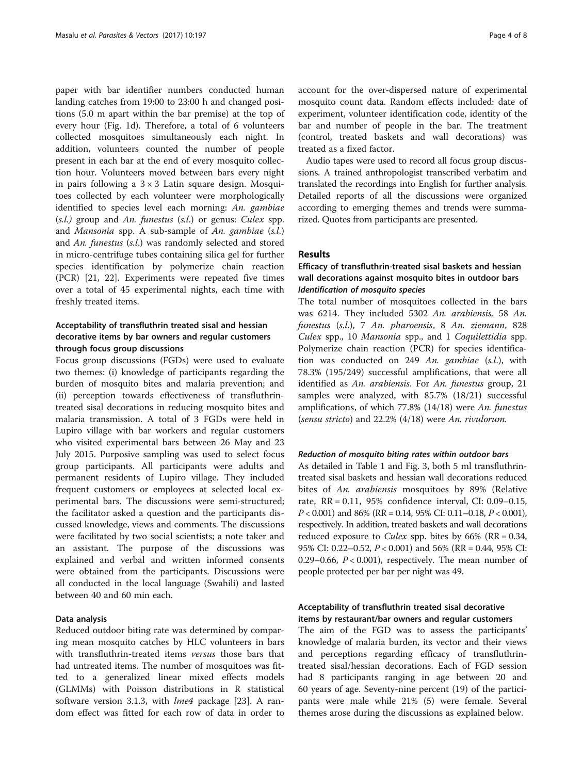paper with bar identifier numbers conducted human landing catches from 19:00 to 23:00 h and changed positions (5.0 m apart within the bar premise) at the top of every hour (Fig. [1d\)](#page-1-0). Therefore, a total of 6 volunteers collected mosquitoes simultaneously each night. In addition, volunteers counted the number of people present in each bar at the end of every mosquito collection hour. Volunteers moved between bars every night in pairs following a  $3 \times 3$  Latin square design. Mosquitoes collected by each volunteer were morphologically identified to species level each morning: An. gambiae  $(s.l.)$  group and An. funestus  $(s.l.)$  or genus: Culex spp. and Mansonia spp. A sub-sample of An. gambiae (s.l.) and An. funestus (s.l.) was randomly selected and stored in micro-centrifuge tubes containing silica gel for further species identification by polymerize chain reaction (PCR) [[21, 22\]](#page-7-0). Experiments were repeated five times over a total of 45 experimental nights, each time with freshly treated items.

## Acceptability of transfluthrin treated sisal and hessian decorative items by bar owners and regular customers through focus group discussions

Focus group discussions (FGDs) were used to evaluate two themes: (i) knowledge of participants regarding the burden of mosquito bites and malaria prevention; and (ii) perception towards effectiveness of transfluthrintreated sisal decorations in reducing mosquito bites and malaria transmission. A total of 3 FGDs were held in Lupiro village with bar workers and regular customers who visited experimental bars between 26 May and 23 July 2015. Purposive sampling was used to select focus group participants. All participants were adults and permanent residents of Lupiro village. They included frequent customers or employees at selected local experimental bars. The discussions were semi-structured; the facilitator asked a question and the participants discussed knowledge, views and comments. The discussions were facilitated by two social scientists; a note taker and an assistant. The purpose of the discussions was explained and verbal and written informed consents were obtained from the participants. Discussions were all conducted in the local language (Swahili) and lasted between 40 and 60 min each.

#### Data analysis

Reduced outdoor biting rate was determined by comparing mean mosquito catches by HLC volunteers in bars with transfluthrin-treated items *versus* those bars that had untreated items. The number of mosquitoes was fitted to a generalized linear mixed effects models (GLMMs) with Poisson distributions in R statistical software version 3.1.3, with *lme4* package [\[23](#page-7-0)]. A random effect was fitted for each row of data in order to account for the over-dispersed nature of experimental mosquito count data. Random effects included: date of experiment, volunteer identification code, identity of the bar and number of people in the bar. The treatment (control, treated baskets and wall decorations) was treated as a fixed factor.

Audio tapes were used to record all focus group discussions. A trained anthropologist transcribed verbatim and translated the recordings into English for further analysis. Detailed reports of all the discussions were organized according to emerging themes and trends were summarized. Quotes from participants are presented.

#### Results

## Efficacy of transfluthrin-treated sisal baskets and hessian wall decorations against mosquito bites in outdoor bars Identification of mosquito species

The total number of mosquitoes collected in the bars was 6214. They included 5302 An. arabiensis, 58 An. funestus (s.l.), 7 An. pharoensis, 8 An. ziemann, 828 Culex spp., 10 Mansonia spp., and 1 Coquilettidia spp. Polymerize chain reaction (PCR) for species identification was conducted on 249 An. gambiae (s.l.), with 78.3% (195/249) successful amplifications, that were all identified as An. arabiensis. For An. funestus group, 21 samples were analyzed, with 85.7% (18/21) successful amplifications, of which 77.8% (14/18) were An. funestus (sensu stricto) and 22.2% (4/18) were An. rivulorum.

#### Reduction of mosquito biting rates within outdoor bars

As detailed in Table [1](#page-4-0) and Fig. [3](#page-4-0), both 5 ml transfluthrintreated sisal baskets and hessian wall decorations reduced bites of An. arabiensis mosquitoes by 89% (Relative rate, RR = 0.11, 95% confidence interval, CI: 0.09–0.15,  $P < 0.001$ ) and 86% (RR = 0.14, 95% CI: 0.11–0.18,  $P < 0.001$ ), respectively. In addition, treated baskets and wall decorations reduced exposure to *Culex* spp. bites by  $66\%$  (RR = 0.34, 95% CI: 0.22–0.52, P < 0.001) and 56% (RR = 0.44, 95% CI: 0.29–0.66,  $P < 0.001$ ), respectively. The mean number of people protected per bar per night was 49.

## Acceptability of transfluthrin treated sisal decorative items by restaurant/bar owners and regular customers

The aim of the FGD was to assess the participants' knowledge of malaria burden, its vector and their views and perceptions regarding efficacy of transfluthrintreated sisal/hessian decorations. Each of FGD session had 8 participants ranging in age between 20 and 60 years of age. Seventy-nine percent (19) of the participants were male while 21% (5) were female. Several themes arose during the discussions as explained below.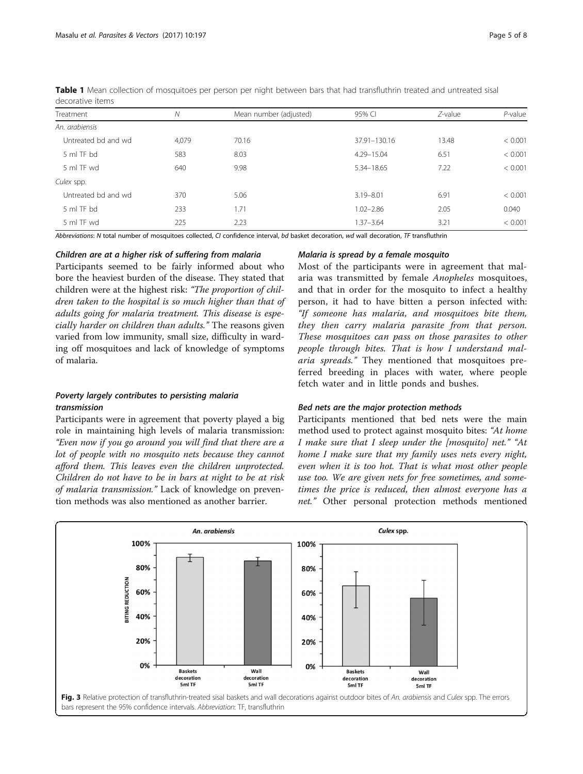| Treatment           | N     | Mean number (adjusted) | 95% CI        | $Z$ -value | $P$ -value |
|---------------------|-------|------------------------|---------------|------------|------------|
| An. arabiensis      |       |                        |               |            |            |
| Untreated bd and wd | 4.079 | 70.16                  | 37.91-130.16  | 13.48      | < 0.001    |
| 5 ml TF bd          | 583   | 8.03                   | 4.29-15.04    | 6.51       | < 0.001    |
| 5 ml TF wd          | 640   | 9.98                   | 5.34-18.65    | 7.22       | < 0.001    |
| Culex spp.          |       |                        |               |            |            |
| Untreated bd and wd | 370   | 5.06                   | $3.19 - 8.01$ | 6.91       | < 0.001    |
| 5 ml TF bd          | 233   | 1.71                   | $1.02 - 2.86$ | 2.05       | 0.040      |
| 5 ml TF wd          | 225   | 2.23                   | $1.37 - 3.64$ | 3.21       | < 0.001    |

<span id="page-4-0"></span>Table 1 Mean collection of mosquitoes per person per night between bars that had transfluthrin treated and untreated sisal decorative items

Abbreviations: N total number of mosquitoes collected, CI confidence interval, bd basket decoration, wd wall decoration, TF transfluthrin

## Children are at a higher risk of suffering from malaria

Participants seemed to be fairly informed about who bore the heaviest burden of the disease. They stated that children were at the highest risk: "The proportion of children taken to the hospital is so much higher than that of adults going for malaria treatment. This disease is especially harder on children than adults." The reasons given varied from low immunity, small size, difficulty in warding off mosquitoes and lack of knowledge of symptoms of malaria.

## Poverty largely contributes to persisting malaria transmission

Participants were in agreement that poverty played a big role in maintaining high levels of malaria transmission: "Even now if you go around you will find that there are a lot of people with no mosquito nets because they cannot afford them. This leaves even the children unprotected. Children do not have to be in bars at night to be at risk of malaria transmission." Lack of knowledge on prevention methods was also mentioned as another barrier.

### Malaria is spread by a female mosquito

Most of the participants were in agreement that malaria was transmitted by female Anopheles mosquitoes, and that in order for the mosquito to infect a healthy person, it had to have bitten a person infected with: "If someone has malaria, and mosquitoes bite them, they then carry malaria parasite from that person. These mosquitoes can pass on those parasites to other people through bites. That is how I understand malaria spreads." They mentioned that mosquitoes preferred breeding in places with water, where people fetch water and in little ponds and bushes.

#### Bed nets are the major protection methods

Participants mentioned that bed nets were the main method used to protect against mosquito bites: "At home I make sure that I sleep under the  $[mosquito]$  net." "At home I make sure that my family uses nets every night, even when it is too hot. That is what most other people use too. We are given nets for free sometimes, and sometimes the price is reduced, then almost everyone has a net." Other personal protection methods mentioned

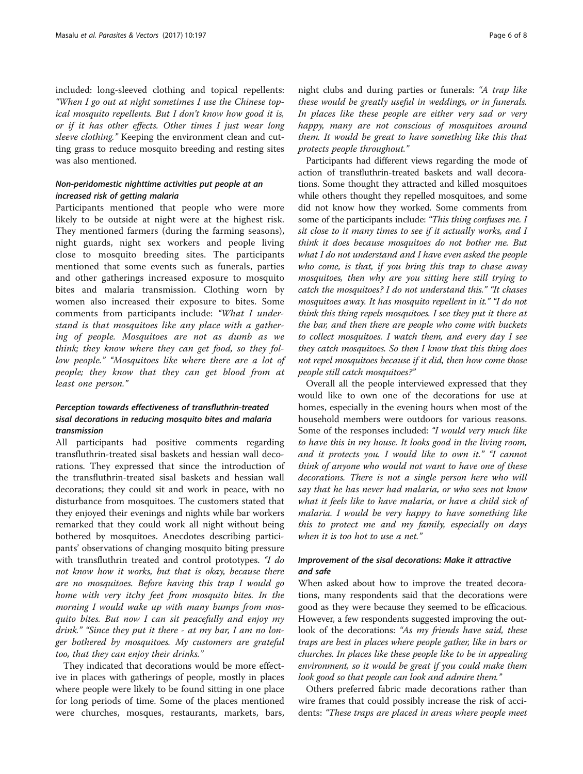included: long-sleeved clothing and topical repellents: "When I go out at night sometimes I use the Chinese topical mosquito repellents. But I don't know how good it is, or if it has other effects. Other times I just wear long sleeve clothing." Keeping the environment clean and cutting grass to reduce mosquito breeding and resting sites was also mentioned.

## Non-peridomestic nighttime activities put people at an increased risk of getting malaria

Participants mentioned that people who were more likely to be outside at night were at the highest risk. They mentioned farmers (during the farming seasons), night guards, night sex workers and people living close to mosquito breeding sites. The participants mentioned that some events such as funerals, parties and other gatherings increased exposure to mosquito bites and malaria transmission. Clothing worn by women also increased their exposure to bites. Some comments from participants include: "What I understand is that mosquitoes like any place with a gathering of people. Mosquitoes are not as dumb as we think; they know where they can get food, so they follow people." "Mosquitoes like where there are a lot of people; they know that they can get blood from at least one person."

## Perception towards effectiveness of transfluthrin-treated sisal decorations in reducing mosquito bites and malaria transmission

All participants had positive comments regarding transfluthrin-treated sisal baskets and hessian wall decorations. They expressed that since the introduction of the transfluthrin-treated sisal baskets and hessian wall decorations; they could sit and work in peace, with no disturbance from mosquitoes. The customers stated that they enjoyed their evenings and nights while bar workers remarked that they could work all night without being bothered by mosquitoes. Anecdotes describing participants' observations of changing mosquito biting pressure with transfluthrin treated and control prototypes. "I do not know how it works, but that is okay, because there are no mosquitoes. Before having this trap I would go home with very itchy feet from mosquito bites. In the morning I would wake up with many bumps from mosquito bites. But now I can sit peacefully and enjoy my drink." "Since they put it there - at my bar, I am no longer bothered by mosquitoes. My customers are grateful too, that they can enjoy their drinks."

They indicated that decorations would be more effective in places with gatherings of people, mostly in places where people were likely to be found sitting in one place for long periods of time. Some of the places mentioned were churches, mosques, restaurants, markets, bars,

night clubs and during parties or funerals: "A trap like these would be greatly useful in weddings, or in funerals. In places like these people are either very sad or very happy, many are not conscious of mosquitoes around them. It would be great to have something like this that protects people throughout."

Participants had different views regarding the mode of action of transfluthrin-treated baskets and wall decorations. Some thought they attracted and killed mosquitoes while others thought they repelled mosquitoes, and some did not know how they worked. Some comments from some of the participants include: "This thing confuses me. I sit close to it many times to see if it actually works, and I think it does because mosquitoes do not bother me. But what I do not understand and I have even asked the people who come, is that, if you bring this trap to chase away mosquitoes, then why are you sitting here still trying to catch the mosquitoes? I do not understand this." "It chases mosquitoes away. It has mosquito repellent in it." "I do not think this thing repels mosquitoes. I see they put it there at the bar, and then there are people who come with buckets to collect mosquitoes. I watch them, and every day I see they catch mosquitoes. So then I know that this thing does not repel mosquitoes because if it did, then how come those people still catch mosquitoes?"

Overall all the people interviewed expressed that they would like to own one of the decorations for use at homes, especially in the evening hours when most of the household members were outdoors for various reasons. Some of the responses included: "I would very much like to have this in my house. It looks good in the living room, and it protects you. I would like to own it." "I cannot think of anyone who would not want to have one of these decorations. There is not a single person here who will say that he has never had malaria, or who sees not know what it feels like to have malaria, or have a child sick of malaria. I would be very happy to have something like this to protect me and my family, especially on days when it is too hot to use a net."

## Improvement of the sisal decorations: Make it attractive and safe

When asked about how to improve the treated decorations, many respondents said that the decorations were good as they were because they seemed to be efficacious. However, a few respondents suggested improving the outlook of the decorations: "As my friends have said, these traps are best in places where people gather, like in bars or churches. In places like these people like to be in appealing environment, so it would be great if you could make them look good so that people can look and admire them."

Others preferred fabric made decorations rather than wire frames that could possibly increase the risk of accidents: "These traps are placed in areas where people meet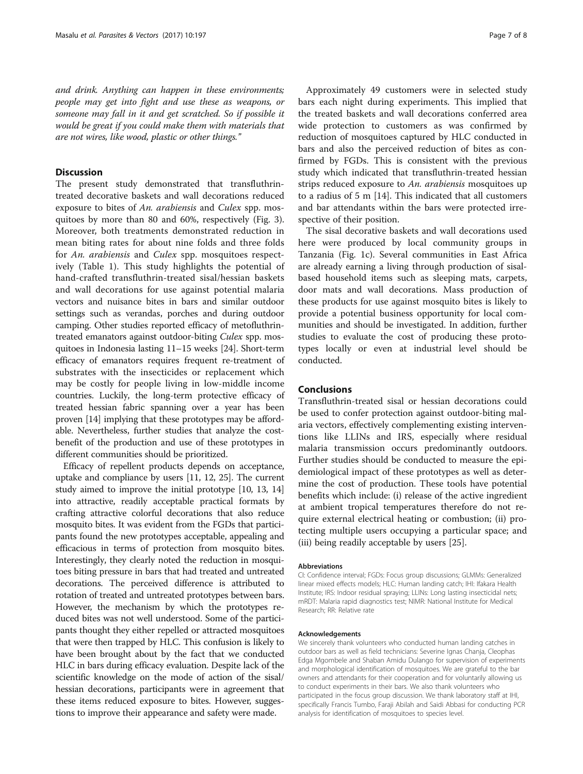and drink. Anything can happen in these environments; people may get into fight and use these as weapons, or someone may fall in it and get scratched. So if possible it would be great if you could make them with materials that are not wires, like wood, plastic or other things."

### **Discussion**

The present study demonstrated that transfluthrintreated decorative baskets and wall decorations reduced exposure to bites of An. arabiensis and Culex spp. mosquitoes by more than 80 and 60%, respectively (Fig. [3](#page-4-0)). Moreover, both treatments demonstrated reduction in mean biting rates for about nine folds and three folds for An. arabiensis and Culex spp. mosquitoes respectively (Table [1](#page-4-0)). This study highlights the potential of hand-crafted transfluthrin-treated sisal/hessian baskets and wall decorations for use against potential malaria vectors and nuisance bites in bars and similar outdoor settings such as verandas, porches and during outdoor camping. Other studies reported efficacy of metofluthrintreated emanators against outdoor-biting Culex spp. mosquitoes in Indonesia lasting 11–15 weeks [\[24](#page-7-0)]. Short-term efficacy of emanators requires frequent re-treatment of substrates with the insecticides or replacement which may be costly for people living in low-middle income countries. Luckily, the long-term protective efficacy of treated hessian fabric spanning over a year has been proven [\[14](#page-7-0)] implying that these prototypes may be affordable. Nevertheless, further studies that analyze the costbenefit of the production and use of these prototypes in different communities should be prioritized.

Efficacy of repellent products depends on acceptance, uptake and compliance by users [[11](#page-7-0), [12](#page-7-0), [25](#page-7-0)]. The current study aimed to improve the initial prototype [[10](#page-7-0), [13, 14](#page-7-0)] into attractive, readily acceptable practical formats by crafting attractive colorful decorations that also reduce mosquito bites. It was evident from the FGDs that participants found the new prototypes acceptable, appealing and efficacious in terms of protection from mosquito bites. Interestingly, they clearly noted the reduction in mosquitoes biting pressure in bars that had treated and untreated decorations. The perceived difference is attributed to rotation of treated and untreated prototypes between bars. However, the mechanism by which the prototypes reduced bites was not well understood. Some of the participants thought they either repelled or attracted mosquitoes that were then trapped by HLC. This confusion is likely to have been brought about by the fact that we conducted HLC in bars during efficacy evaluation. Despite lack of the scientific knowledge on the mode of action of the sisal/ hessian decorations, participants were in agreement that these items reduced exposure to bites. However, suggestions to improve their appearance and safety were made.

Approximately 49 customers were in selected study bars each night during experiments. This implied that the treated baskets and wall decorations conferred area wide protection to customers as was confirmed by reduction of mosquitoes captured by HLC conducted in bars and also the perceived reduction of bites as confirmed by FGDs. This is consistent with the previous study which indicated that transfluthrin-treated hessian strips reduced exposure to An. arabiensis mosquitoes up to a radius of 5 m [\[14\]](#page-7-0). This indicated that all customers and bar attendants within the bars were protected irrespective of their position.

The sisal decorative baskets and wall decorations used here were produced by local community groups in Tanzania (Fig. [1c\)](#page-1-0). Several communities in East Africa are already earning a living through production of sisalbased household items such as sleeping mats, carpets, door mats and wall decorations. Mass production of these products for use against mosquito bites is likely to provide a potential business opportunity for local communities and should be investigated. In addition, further studies to evaluate the cost of producing these prototypes locally or even at industrial level should be conducted.

#### Conclusions

Transfluthrin-treated sisal or hessian decorations could be used to confer protection against outdoor-biting malaria vectors, effectively complementing existing interventions like LLINs and IRS, especially where residual malaria transmission occurs predominantly outdoors. Further studies should be conducted to measure the epidemiological impact of these prototypes as well as determine the cost of production. These tools have potential benefits which include: (i) release of the active ingredient at ambient tropical temperatures therefore do not require external electrical heating or combustion; (ii) protecting multiple users occupying a particular space; and (iii) being readily acceptable by users [[25\]](#page-7-0).

#### Abbreviations

CI: Confidence interval; FGDs: Focus group discussions; GLMMs: Generalized linear mixed effects models; HLC: Human landing catch; IHI: Ifakara Health Institute; IRS: Indoor residual spraying; LLINs: Long lasting insecticidal nets; mRDT: Malaria rapid diagnostics test; NIMR: National Institute for Medical Research; RR: Relative rate

#### Acknowledgements

We sincerely thank volunteers who conducted human landing catches in outdoor bars as well as field technicians: Severine Ignas Chanja, Cleophas Edga Mgombele and Shaban Amidu Dulango for supervision of experiments and morphological identification of mosquitoes. We are grateful to the bar owners and attendants for their cooperation and for voluntarily allowing us to conduct experiments in their bars. We also thank volunteers who participated in the focus group discussion. We thank laboratory staff at IHI, specifically Francis Tumbo, Faraji Abilah and Saidi Abbasi for conducting PCR analysis for identification of mosquitoes to species level.